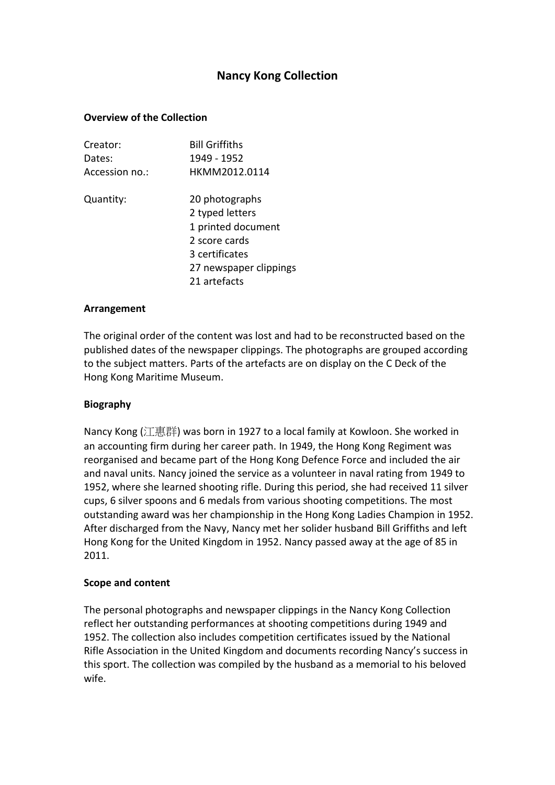# **Nancy Kong Collection**

# **Overview of the Collection**

| Creator:       | <b>Bill Griffiths</b>  |
|----------------|------------------------|
| Dates:         | 1949 - 1952            |
| Accession no.: | HKMM2012.0114          |
| Quantity:      | 20 photographs         |
|                | 2 typed letters        |
|                | 1 printed document     |
|                | 2 score cards          |
|                | 3 certificates         |
|                | 27 newspaper clippings |
|                | 21 artefacts           |

# **Arrangement**

The original order of the content was lost and had to be reconstructed based on the published dates of the newspaper clippings. The photographs are grouped according to the subject matters. Parts of the artefacts are on display on the C Deck of the Hong Kong Maritime Museum.

# **Biography**

Nancy Kong (江惠群) was born in 1927 to a local family at Kowloon. She worked in an accounting firm during her career path. In 1949, the Hong Kong Regiment was reorganised and became part of the Hong Kong Defence Force and included the air and naval units. Nancy joined the service as a volunteer in naval rating from 1949 to 1952, where she learned shooting rifle. During this period, she had received 11 silver cups, 6 silver spoons and 6 medals from various shooting competitions. The most outstanding award was her championship in the Hong Kong Ladies Champion in 1952. After discharged from the Navy, Nancy met her solider husband Bill Griffiths and left Hong Kong for the United Kingdom in 1952. Nancy passed away at the age of 85 in 2011.

# **Scope and content**

The personal photographs and newspaper clippings in the Nancy Kong Collection reflect her outstanding performances at shooting competitions during 1949 and 1952. The collection also includes competition certificates issued by the National Rifle Association in the United Kingdom and documents recording Nancy's success in this sport. The collection was compiled by the husband as a memorial to his beloved wife.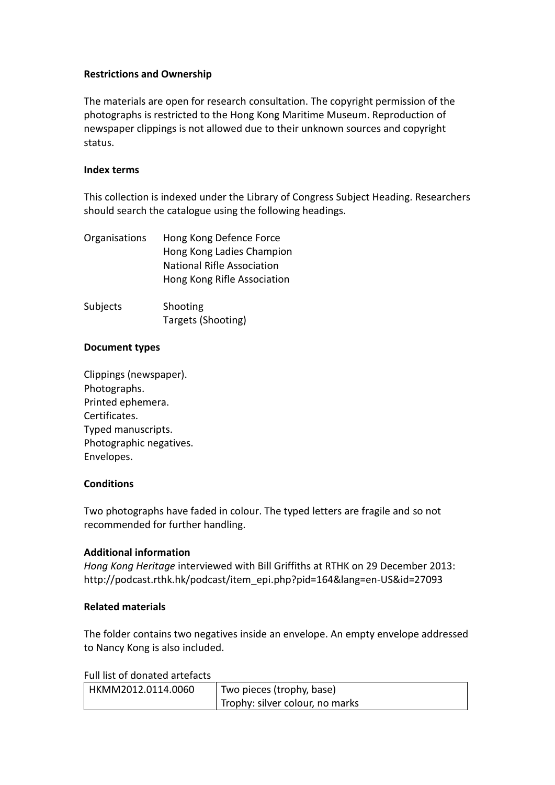# **Restrictions and Ownership**

The materials are open for research consultation. The copyright permission of the photographs is restricted to the Hong Kong Maritime Museum. Reproduction of newspaper clippings is not allowed due to their unknown sources and copyright status.

# **Index terms**

This collection is indexed under the Library of Congress Subject Heading. Researchers should search the catalogue using the following headings.

| Organisations | Hong Kong Defence Force           |
|---------------|-----------------------------------|
|               | Hong Kong Ladies Champion         |
|               | <b>National Rifle Association</b> |
|               | Hong Kong Rifle Association       |
|               |                                   |

| Subjects | Shooting           |
|----------|--------------------|
|          | Targets (Shooting) |

#### **Document types**

Clippings (newspaper). Photographs. Printed ephemera. Certificates. Typed manuscripts. Photographic negatives. Envelopes.

# **Conditions**

Two photographs have faded in colour. The typed letters are fragile and so not recommended for further handling.

# **Additional information**

*Hong Kong Heritage* interviewed with Bill Griffiths at RTHK on 29 December 2013: http://podcast.rthk.hk/podcast/item\_epi.php?pid=164&lang=en-US&id=27093

# **Related materials**

The folder contains two negatives inside an envelope. An empty envelope addressed to Nancy Kong is also included.

Full list of donated artefacts

| HKMM2012.0114.0060 | Two pieces (trophy, base)       |
|--------------------|---------------------------------|
|                    | Trophy: silver colour, no marks |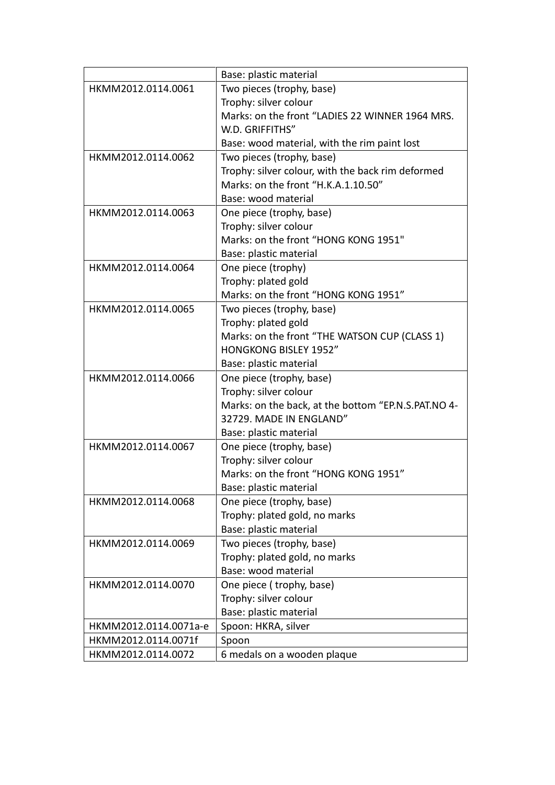|                       | Base: plastic material                              |  |  |
|-----------------------|-----------------------------------------------------|--|--|
| HKMM2012.0114.0061    | Two pieces (trophy, base)                           |  |  |
|                       | Trophy: silver colour                               |  |  |
|                       | Marks: on the front "LADIES 22 WINNER 1964 MRS.     |  |  |
|                       | W.D. GRIFFITHS"                                     |  |  |
|                       | Base: wood material, with the rim paint lost        |  |  |
| HKMM2012.0114.0062    | Two pieces (trophy, base)                           |  |  |
|                       | Trophy: silver colour, with the back rim deformed   |  |  |
|                       | Marks: on the front "H.K.A.1.10.50"                 |  |  |
|                       | Base: wood material                                 |  |  |
| HKMM2012.0114.0063    | One piece (trophy, base)                            |  |  |
|                       | Trophy: silver colour                               |  |  |
|                       | Marks: on the front "HONG KONG 1951"                |  |  |
|                       | Base: plastic material                              |  |  |
| HKMM2012.0114.0064    | One piece (trophy)                                  |  |  |
|                       | Trophy: plated gold                                 |  |  |
|                       | Marks: on the front "HONG KONG 1951"                |  |  |
| HKMM2012.0114.0065    | Two pieces (trophy, base)                           |  |  |
|                       | Trophy: plated gold                                 |  |  |
|                       | Marks: on the front "THE WATSON CUP (CLASS 1)       |  |  |
|                       | <b>HONGKONG BISLEY 1952"</b>                        |  |  |
|                       | Base: plastic material                              |  |  |
| HKMM2012.0114.0066    | One piece (trophy, base)                            |  |  |
|                       | Trophy: silver colour                               |  |  |
|                       | Marks: on the back, at the bottom "EP.N.S.PAT.NO 4- |  |  |
|                       | 32729. MADE IN ENGLAND"                             |  |  |
|                       | Base: plastic material                              |  |  |
| HKMM2012.0114.0067    | One piece (trophy, base)                            |  |  |
|                       | Trophy: silver colour                               |  |  |
|                       | Marks: on the front "HONG KONG 1951"                |  |  |
|                       | Base: plastic material                              |  |  |
| HKMM2012.0114.0068    | One piece (trophy, base)                            |  |  |
|                       | Trophy: plated gold, no marks                       |  |  |
|                       | Base: plastic material                              |  |  |
| HKMM2012.0114.0069    | Two pieces (trophy, base)                           |  |  |
|                       | Trophy: plated gold, no marks                       |  |  |
|                       | Base: wood material                                 |  |  |
| HKMM2012.0114.0070    | One piece (trophy, base)                            |  |  |
|                       | Trophy: silver colour                               |  |  |
|                       | Base: plastic material                              |  |  |
| HKMM2012.0114.0071a-e | Spoon: HKRA, silver                                 |  |  |
| HKMM2012.0114.0071f   | Spoon                                               |  |  |
| HKMM2012.0114.0072    | 6 medals on a wooden plaque                         |  |  |